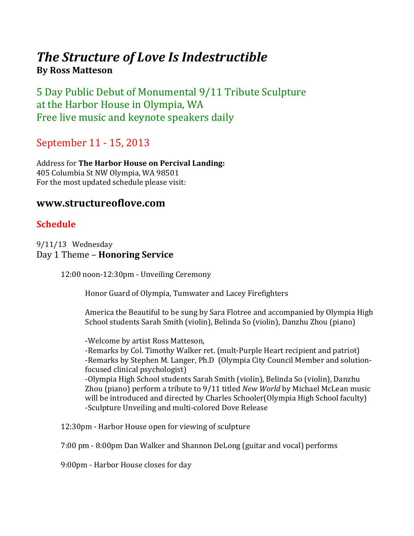# *The Structure of Love Is Indestructible* **By Ross Matteson**

5 Day Public Debut of Monumental 9/11 Tribute Sculpture at the Harbor House in Olympia, WA Free live music and keynote speakers daily

## September 11 - 15, 2013

Address for **The Harbor House on Percival Landing:** 405 Columbia St NW Olympia, WA 98501 For the most updated schedule please visit:

### **www.structureoflove.com**

## **Schedule**

9/11/13 Wednesday Day 1 Theme – **Honoring Service**

12:00 noon-12:30pm - Unveiling Ceremony

Honor Guard of Olympia, Tumwater and Lacey Firefighters

America the Beautiful to be sung by Sara Flotree and accompanied by Olympia High School students Sarah Smith (violin), Belinda So (violin), Danzhu Zhou (piano)

-Welcome by artist Ross Matteson,

-Remarks by Col. Timothy Walker ret. (mult-Purple Heart recipient and patriot) -Remarks by Stephen M. Langer, Ph.D (Olympia City Council Member and solutionfocused clinical psychologist) -Olympia High School students Sarah Smith (violin), Belinda So (violin), Danzhu Zhou (piano) perform a tribute to 9/11 titled *New World* by Michael McLean music will be introduced and directed by Charles Schooler(Olympia High School faculty) -Sculpture Unveiling and multi-colored Dove Release

12:30pm - Harbor House open for viewing of sculpture

7:00 pm - 8:00pm Dan Walker and Shannon DeLong (guitar and vocal) performs

9:00pm - Harbor House closes for day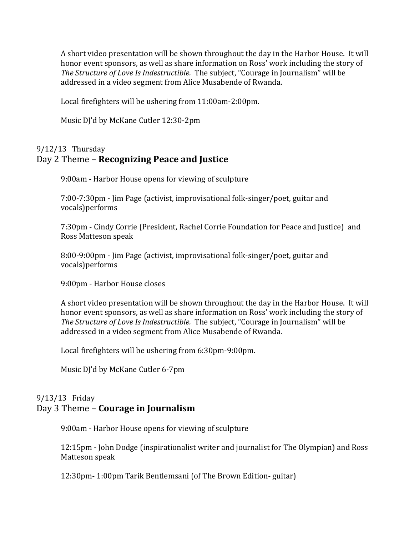A short video presentation will be shown throughout the day in the Harbor House. It will honor event sponsors, as well as share information on Ross' work including the story of *The Structure of Love Is Indestructible.* The subject, "Courage in Journalism" will be addressed in a video segment from Alice Musabende of Rwanda.

Local firefighters will be ushering from 11:00am-2:00pm.

Music DJ'd by McKane Cutler 12:30-2pm

#### 9/12/13 Thursday Day 2 Theme – **Recognizing Peace and Justice**

9:00am - Harbor House opens for viewing of sculpture

7:00-7:30pm - Jim Page (activist, improvisational folk-singer/poet, guitar and vocals)performs

7:30pm - Cindy Corrie (President, Rachel Corrie Foundation for Peace and Justice) and Ross Matteson speak

8:00-9:00pm - Jim Page (activist, improvisational folk-singer/poet, guitar and vocals)performs

9:00pm - Harbor House closes

A short video presentation will be shown throughout the day in the Harbor House. It will honor event sponsors, as well as share information on Ross' work including the story of *The Structure of Love Is Indestructible.* The subject, "Courage in Journalism" will be addressed in a video segment from Alice Musabende of Rwanda.

Local firefighters will be ushering from 6:30pm-9:00pm.

Music DJ'd by McKane Cutler 6-7pm

#### 9/13/13 Friday Day 3 Theme – **Courage in Journalism**

9:00am - Harbor House opens for viewing of sculpture

12:15pm - John Dodge (inspirationalist writer and journalist for The Olympian) and Ross Matteson speak

12:30pm- 1:00pm Tarik Bentlemsani (of The Brown Edition- guitar)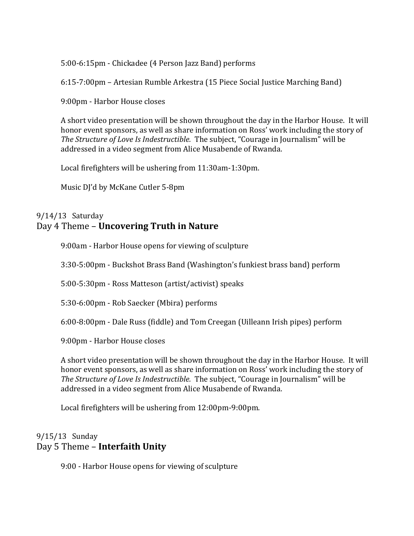5:00-6:15pm - Chickadee (4 Person Jazz Band) performs

6:15-7:00pm – Artesian Rumble Arkestra (15 Piece Social Justice Marching Band)

9:00pm - Harbor House closes

A short video presentation will be shown throughout the day in the Harbor House. It will honor event sponsors, as well as share information on Ross' work including the story of *The Structure of Love Is Indestructible.* The subject, "Courage in Journalism" will be addressed in a video segment from Alice Musabende of Rwanda.

Local firefighters will be ushering from 11:30am-1:30pm.

Music DJ'd by McKane Cutler 5-8pm

#### 9/14/13 Saturday Day 4 Theme – **Uncovering Truth in Nature**

9:00am - Harbor House opens for viewing of sculpture

3:30-5:00pm - Buckshot Brass Band (Washington's funkiest brass band) perform

5:00-5:30pm - Ross Matteson (artist/activist) speaks

5:30-6:00pm - Rob Saecker (Mbira) performs

6:00-8:00pm - Dale Russ (fiddle) and Tom Creegan (Uilleann Irish pipes) perform

9:00pm - Harbor House closes

A short video presentation will be shown throughout the day in the Harbor House. It will honor event sponsors, as well as share information on Ross' work including the story of *The Structure of Love Is Indestructible.* The subject, "Courage in Journalism" will be addressed in a video segment from Alice Musabende of Rwanda.

Local firefighters will be ushering from 12:00pm-9:00pm.

#### 9/15/13 Sunday Day 5 Theme – **Interfaith Unity**

9:00 - Harbor House opens for viewing of sculpture